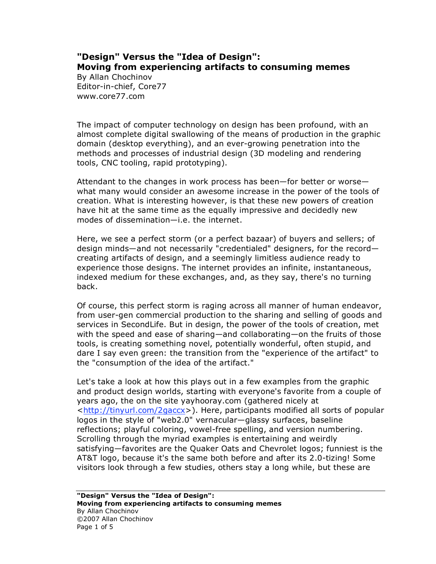## **"Design" Versus the "Idea of Design": Moving from experiencing artifacts to consuming memes**

By Allan Chochinov Editor-in-chief, Core77 www.core77.com

The impact of computer technology on design has been profound, with an almost complete digital swallowing of the means of production in the graphic domain (desktop everything), and an ever-growing penetration into the methods and processes of industrial design (3D modeling and rendering tools, CNC tooling, rapid prototyping).

Attendant to the changes in work process has been—for better or worse what many would consider an awesome increase in the power of the tools of creation. What is interesting however, is that these new powers of creation have hit at the same time as the equally impressive and decidedly new modes of dissemination—i.e. the internet.

Here, we see a perfect storm (or a perfect bazaar) of buyers and sellers; of design minds—and not necessarily "credentialed" designers, for the record creating artifacts of design, and a seemingly limitless audience ready to experience those designs. The internet provides an infinite, instantaneous, indexed medium for these exchanges, and, as they say, there's no turning back.

Of course, this perfect storm is raging across all manner of human endeavor, from user-gen commercial production to the sharing and selling of goods and services in SecondLife. But in design, the power of the tools of creation, met with the speed and ease of sharing—and collaborating—on the fruits of those tools, is creating something novel, potentially wonderful, often stupid, and dare I say even green: the transition from the "experience of the artifact" to the "consumption of the idea of the artifact."

Let's take a look at how this plays out in a few examples from the graphic and product design worlds, starting with everyone's favorite from a couple of years ago, the on the site yayhooray.com (gathered nicely at <http://tinyurl.com/2gaccx>). Here, participants modified all sorts of popular logos in the style of "web2.0" vernacular—glassy surfaces, baseline reflections; playful coloring, vowel-free spelling, and version numbering. Scrolling through the myriad examples is entertaining and weirdly satisfying—favorites are the Quaker Oats and Chevrolet logos; funniest is the AT&T logo, because it's the same both before and after its 2.0-tizing! Some visitors look through a few studies, others stay a long while, but these are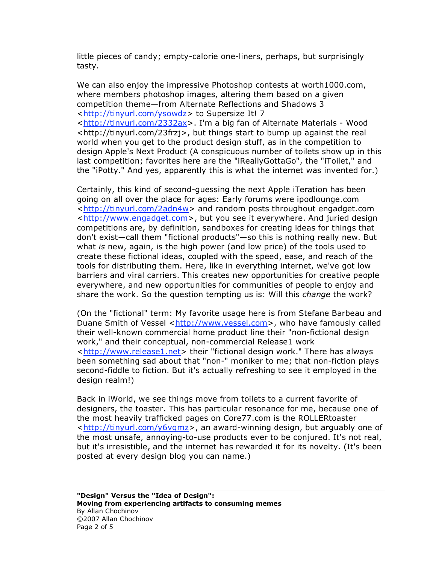little pieces of candy; empty-calorie one-liners, perhaps, but surprisingly tasty.

We can also enjoy the impressive Photoshop contests at worth1000.com, where members photoshop images, altering them based on a given competition theme—from Alternate Reflections and Shadows 3 <http://tinyurl.com/ysowdz> to Supersize It! 7

<http://tinyurl.com/2332ax>. I'm a big fan of Alternate Materials - Wood <http://tinyurl.com/23frzj>, but things start to bump up against the real world when you get to the product design stuff, as in the competition to design Apple's Next Product (A conspicuous number of toilets show up in this last competition; favorites here are the "iReallyGottaGo", the "iToilet," and the "iPotty." And yes, apparently this is what the internet was invented for.)

Certainly, this kind of second-guessing the next Apple iTeration has been going on all over the place for ages: Early forums were ipodlounge.com <http://tinyurl.com/2adn4w> and random posts throughout engadget.com <http://www.engadget.com>, but you see it everywhere. And juried design competitions are, by definition, sandboxes for creating ideas for things that don't exist—call them "fictional products"—so this is nothing really new. But what *is* new, again, is the high power (and low price) of the tools used to create these fictional ideas, coupled with the speed, ease, and reach of the tools for distributing them. Here, like in everything internet, we've got low barriers and viral carriers. This creates new opportunities for creative people everywhere, and new opportunities for communities of people to enjoy and share the work. So the question tempting us is: Will this *change* the work?

(On the "fictional" term: My favorite usage here is from Stefane Barbeau and Duane Smith of Vessel <http://www.vessel.com>, who have famously called their well-known commercial home product line their "non-fictional design work," and their conceptual, non-commercial Release1 work <http://www.release1.net> their "fictional design work." There has always been something sad about that "non-" moniker to me; that non-fiction plays second-fiddle to fiction. But it's actually refreshing to see it employed in the design realm!)

Back in iWorld, we see things move from toilets to a current favorite of designers, the toaster. This has particular resonance for me, because one of the most heavily trafficked pages on Core77.com is the ROLLERtoaster <http://tinyurl.com/y6vqmz>, an award-winning design, but arguably one of the most unsafe, annoying-to-use products ever to be conjured. It's not real, but it's irresistible, and the internet has rewarded it for its novelty. (It's been posted at every design blog you can name.)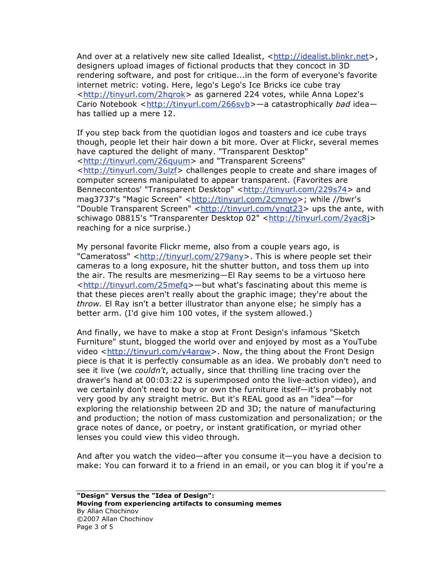And over at a relatively new site called Idealist, <http://idealist.blinkr.net>, designers upload images of fictional products that they concoct in 3D rendering software, and post for critique...in the form of everyone's favorite internet metric: voting. Here, lego's Lego's Ice Bricks ice cube tray <http://tinyurl.com/2hqrok> as garnered 224 votes, while Anna Lopez's Cario Notebook <http://tinyurl.com/266svb>—a catastrophically *bad* idea has tallied up a mere 12.

If you step back from the quotidian logos and toasters and ice cube trays though, people let their hair down a bit more. Over at Flickr, several memes have captured the delight of many. "Transparent Desktop" <http://tinyurl.com/26quum> and "Transparent Screens" <http://tinyurl.com/3ulzf> challenges people to create and share images of computer screens manipulated to appear transparent. (Favorites are Bennecontentos' "Transparent Desktop" <http://tinyurl.com/229s74> and mag3737's "Magic Screen" <http://tinyurl.com/2cmnyo>; while //bwr's "Double Transparent Screen" <http://tinyurl.com/yngt23> ups the ante, with schiwago 08815's "Transparenter Desktop 02" <http://tinyurl.com/2yac8j> reaching for a nice surprise.)

My personal favorite Flickr meme, also from a couple years ago, is "Cameratoss" <http://tinyurl.com/279any>. This is where people set their cameras to a long exposure, hit the shutter button, and toss them up into the air. The results are mesmerizing—El Ray seems to be a virtuoso here <http://tinyurl.com/25mefq>—but what's fascinating about this meme is that these pieces aren't really about the graphic image; they're about the *throw.* El Ray isn't a better illustrator than anyone else; he simply has a better arm. (I'd give him 100 votes, if the system allowed.)

And finally, we have to make a stop at Front Design's infamous "Sketch Furniture" stunt, blogged the world over and enjoyed by most as a YouTube video <http://tinyurl.com/y4arqw>. Now, the thing about the Front Design piece is that it is perfectly consumable as an idea. We probably don't need to see it live (we *couldn't*, actually, since that thrilling line tracing over the drawer's hand at 00:03:22 is superimposed onto the live-action video), and we certainly don't need to buy or own the furniture itself—it's probably not very good by any straight metric. But it's REAL good as an "idea"—for exploring the relationship between 2D and 3D; the nature of manufacturing and production; the notion of mass customization and personalization; or the grace notes of dance, or poetry, or instant gratification, or myriad other lenses you could view this video through.

And after you watch the video—after you consume it—you have a decision to make: You can forward it to a friend in an email, or you can blog it if you're a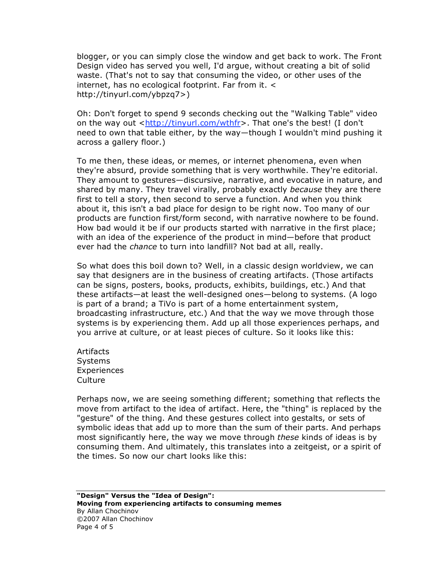blogger, or you can simply close the window and get back to work. The Front Design video has served you well, I'd argue, without creating a bit of solid waste. (That's not to say that consuming the video, or other uses of the internet, has no ecological footprint. Far from it. < http://tinyurl.com/ybpzq7>)

Oh: Don't forget to spend 9 seconds checking out the "Walking Table" video on the way out <http://tinyurl.com/wthfr>. That one's the best! (I don't need to own that table either, by the way—though I wouldn't mind pushing it across a gallery floor.)

To me then, these ideas, or memes, or internet phenomena, even when they're absurd, provide something that is very worthwhile. They're editorial. They amount to gestures—discursive, narrative, and evocative in nature, and shared by many. They travel virally, probably exactly *because* they are there first to tell a story, then second to serve a function. And when you think about it, this isn't a bad place for design to be right now. Too many of our products are function first/form second, with narrative nowhere to be found. How bad would it be if our products started with narrative in the first place; with an idea of the experience of the product in mind—before that product ever had the *chance* to turn into landfill? Not bad at all, really.

So what does this boil down to? Well, in a classic design worldview, we can say that designers are in the business of creating artifacts. (Those artifacts can be signs, posters, books, products, exhibits, buildings, etc.) And that these artifacts—at least the well-designed ones—belong to systems. (A logo is part of a brand; a TiVo is part of a home entertainment system, broadcasting infrastructure, etc.) And that the way we move through those systems is by experiencing them. Add up all those experiences perhaps, and you arrive at culture, or at least pieces of culture. So it looks like this:

Artifacts Systems **Experiences** Culture

Perhaps now, we are seeing something different; something that reflects the move from artifact to the idea of artifact. Here, the "thing" is replaced by the "gesture" of the thing. And these gestures collect into gestalts, or sets of symbolic ideas that add up to more than the sum of their parts. And perhaps most significantly here, the way we move through *these* kinds of ideas is by consuming them. And ultimately, this translates into a zeitgeist, or a spirit of the times. So now our chart looks like this: